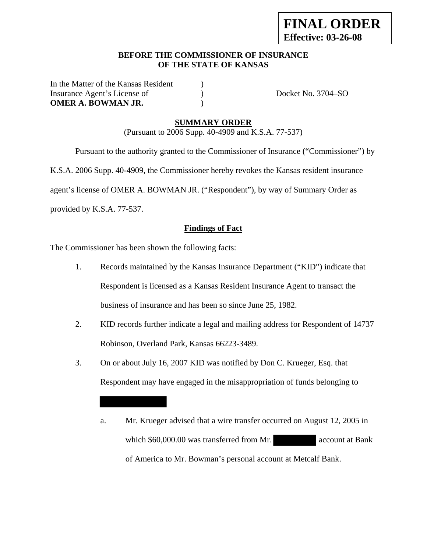# **BEFORE THE COMMISSIONER OF INSURANCE OF THE STATE OF KANSAS**

In the Matter of the Kansas Resident ) Insurance Agent's License of  $Docket No. 3704-SO$ **OMER A. BOWMAN JR.** (a)

#### **SUMMARY ORDER**

(Pursuant to 2006 Supp. 40-4909 and K.S.A. 77-537)

 Pursuant to the authority granted to the Commissioner of Insurance ("Commissioner") by K.S.A. 2006 Supp. 40-4909, the Commissioner hereby revokes the Kansas resident insurance agent's license of OMER A. BOWMAN JR. ("Respondent"), by way of Summary Order as provided by K.S.A. 77-537.

### **Findings of Fact**

The Commissioner has been shown the following facts:

- 1. Records maintained by the Kansas Insurance Department ("KID") indicate that Respondent is licensed as a Kansas Resident Insurance Agent to transact the business of insurance and has been so since June 25, 1982.
- 2. KID records further indicate a legal and mailing address for Respondent of 14737 Robinson, Overland Park, Kansas 66223-3489.
- 3. On or about July 16, 2007 KID was notified by Don C. Krueger, Esq. that Respondent may have engaged in the misappropriation of funds belonging to

a. Mr. Krueger advised that a wire transfer occurred on August 12, 2005 in which \$60,000.00 was transferred from Mr. account at Bank of America to Mr. Bowman's personal account at Metcalf Bank.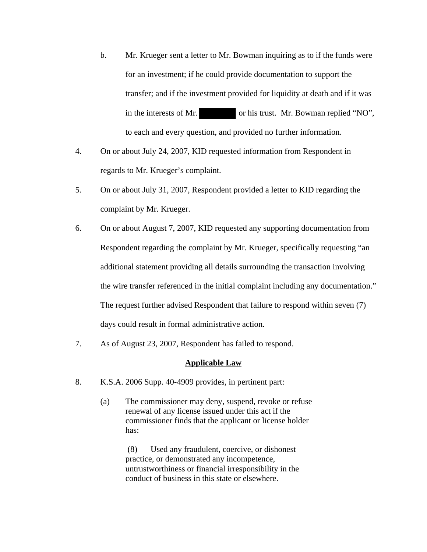- b. Mr. Krueger sent a letter to Mr. Bowman inquiring as to if the funds were for an investment; if he could provide documentation to support the transfer; and if the investment provided for liquidity at death and if it was in the interests of Mr. or his trust. Mr. Bowman replied "NO", to each and every question, and provided no further information.
- 4. On or about July 24, 2007, KID requested information from Respondent in regards to Mr. Krueger's complaint.
- 5. On or about July 31, 2007, Respondent provided a letter to KID regarding the complaint by Mr. Krueger.
- 6. On or about August 7, 2007, KID requested any supporting documentation from Respondent regarding the complaint by Mr. Krueger, specifically requesting "an additional statement providing all details surrounding the transaction involving the wire transfer referenced in the initial complaint including any documentation." The request further advised Respondent that failure to respond within seven (7) days could result in formal administrative action.
- 7. As of August 23, 2007, Respondent has failed to respond.

#### **Applicable Law**

- 8. K.S.A. 2006 Supp. 40-4909 provides, in pertinent part:
	- (a) The commissioner may deny, suspend, revoke or refuse renewal of any license issued under this act if the commissioner finds that the applicant or license holder has:

 (8) Used any fraudulent, coercive, or dishonest practice, or demonstrated any incompetence, untrustworthiness or financial irresponsibility in the conduct of business in this state or elsewhere.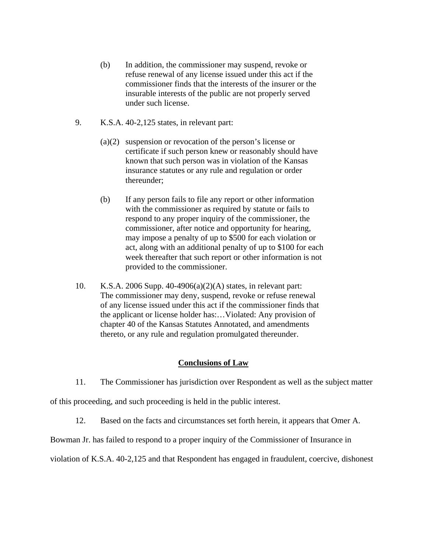- (b) In addition, the commissioner may suspend, revoke or refuse renewal of any license issued under this act if the commissioner finds that the interests of the insurer or the insurable interests of the public are not properly served under such license.
- 9. K.S.A. 40-2,125 states, in relevant part:
	- (a)(2) suspension or revocation of the person's license or certificate if such person knew or reasonably should have known that such person was in violation of the Kansas insurance statutes or any rule and regulation or order thereunder;
	- (b) If any person fails to file any report or other information with the commissioner as required by statute or fails to respond to any proper inquiry of the commissioner, the commissioner, after notice and opportunity for hearing, may impose a penalty of up to \$500 for each violation or act, along with an additional penalty of up to \$100 for each week thereafter that such report or other information is not provided to the commissioner.
- 10. K.S.A. 2006 Supp. 40-4906(a)(2)(A) states, in relevant part: The commissioner may deny, suspend, revoke or refuse renewal of any license issued under this act if the commissioner finds that the applicant or license holder has:…Violated: Any provision of chapter 40 of the Kansas Statutes Annotated, and amendments thereto, or any rule and regulation promulgated thereunder.

# **Conclusions of Law**

11. The Commissioner has jurisdiction over Respondent as well as the subject matter

of this proceeding, and such proceeding is held in the public interest.

12. Based on the facts and circumstances set forth herein, it appears that Omer A.

Bowman Jr. has failed to respond to a proper inquiry of the Commissioner of Insurance in

violation of K.S.A. 40-2,125 and that Respondent has engaged in fraudulent, coercive, dishonest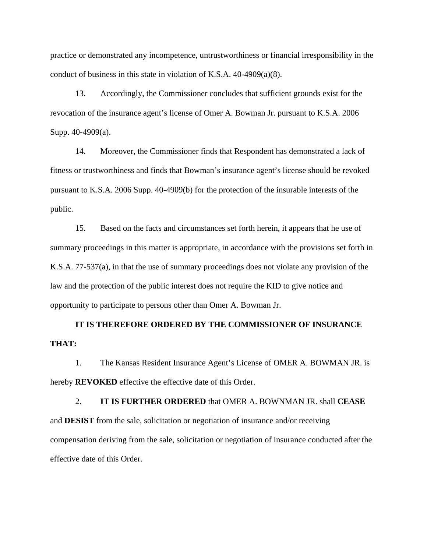practice or demonstrated any incompetence, untrustworthiness or financial irresponsibility in the conduct of business in this state in violation of K.S.A. 40-4909(a)(8).

13. Accordingly, the Commissioner concludes that sufficient grounds exist for the revocation of the insurance agent's license of Omer A. Bowman Jr. pursuant to K.S.A. 2006 Supp. 40-4909(a).

14. Moreover, the Commissioner finds that Respondent has demonstrated a lack of fitness or trustworthiness and finds that Bowman's insurance agent's license should be revoked pursuant to K.S.A. 2006 Supp. 40-4909(b) for the protection of the insurable interests of the public.

15. Based on the facts and circumstances set forth herein, it appears that he use of summary proceedings in this matter is appropriate, in accordance with the provisions set forth in K.S.A. 77-537(a), in that the use of summary proceedings does not violate any provision of the law and the protection of the public interest does not require the KID to give notice and opportunity to participate to persons other than Omer A. Bowman Jr.

# **IT IS THEREFORE ORDERED BY THE COMMISSIONER OF INSURANCE THAT:**

1. The Kansas Resident Insurance Agent's License of OMER A. BOWMAN JR. is hereby **REVOKED** effective the effective date of this Order.

2. **IT IS FURTHER ORDERED** that OMER A. BOWNMAN JR. shall **CEASE**  and **DESIST** from the sale, solicitation or negotiation of insurance and/or receiving compensation deriving from the sale, solicitation or negotiation of insurance conducted after the effective date of this Order.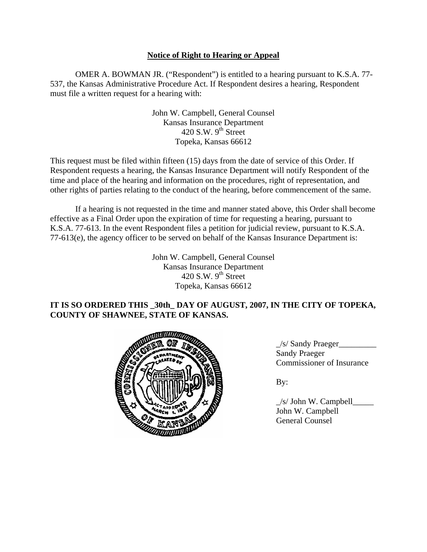# **Notice of Right to Hearing or Appeal**

OMER A. BOWMAN JR. ("Respondent") is entitled to a hearing pursuant to K.S.A. 77- 537, the Kansas Administrative Procedure Act. If Respondent desires a hearing, Respondent must file a written request for a hearing with:

> John W. Campbell, General Counsel Kansas Insurance Department 420 S.W.  $9<sup>th</sup>$  Street Topeka, Kansas 66612

This request must be filed within fifteen (15) days from the date of service of this Order. If Respondent requests a hearing, the Kansas Insurance Department will notify Respondent of the time and place of the hearing and information on the procedures, right of representation, and other rights of parties relating to the conduct of the hearing, before commencement of the same.

If a hearing is not requested in the time and manner stated above, this Order shall become effective as a Final Order upon the expiration of time for requesting a hearing, pursuant to K.S.A. 77-613. In the event Respondent files a petition for judicial review, pursuant to K.S.A. 77-613(e), the agency officer to be served on behalf of the Kansas Insurance Department is:

> John W. Campbell, General Counsel Kansas Insurance Department 420 S.W.  $9<sup>th</sup>$  Street Topeka, Kansas 66612

# **IT IS SO ORDERED THIS \_30th\_ DAY OF AUGUST, 2007, IN THE CITY OF TOPEKA, COUNTY OF SHAWNEE, STATE OF KANSAS.**



 $\angle$ s/ Sandy Praeger Sandy Praeger Commissioner of Insurance

 $\angle$ s/ John W. Campbell $\angle$  John W. Campbell General Counsel